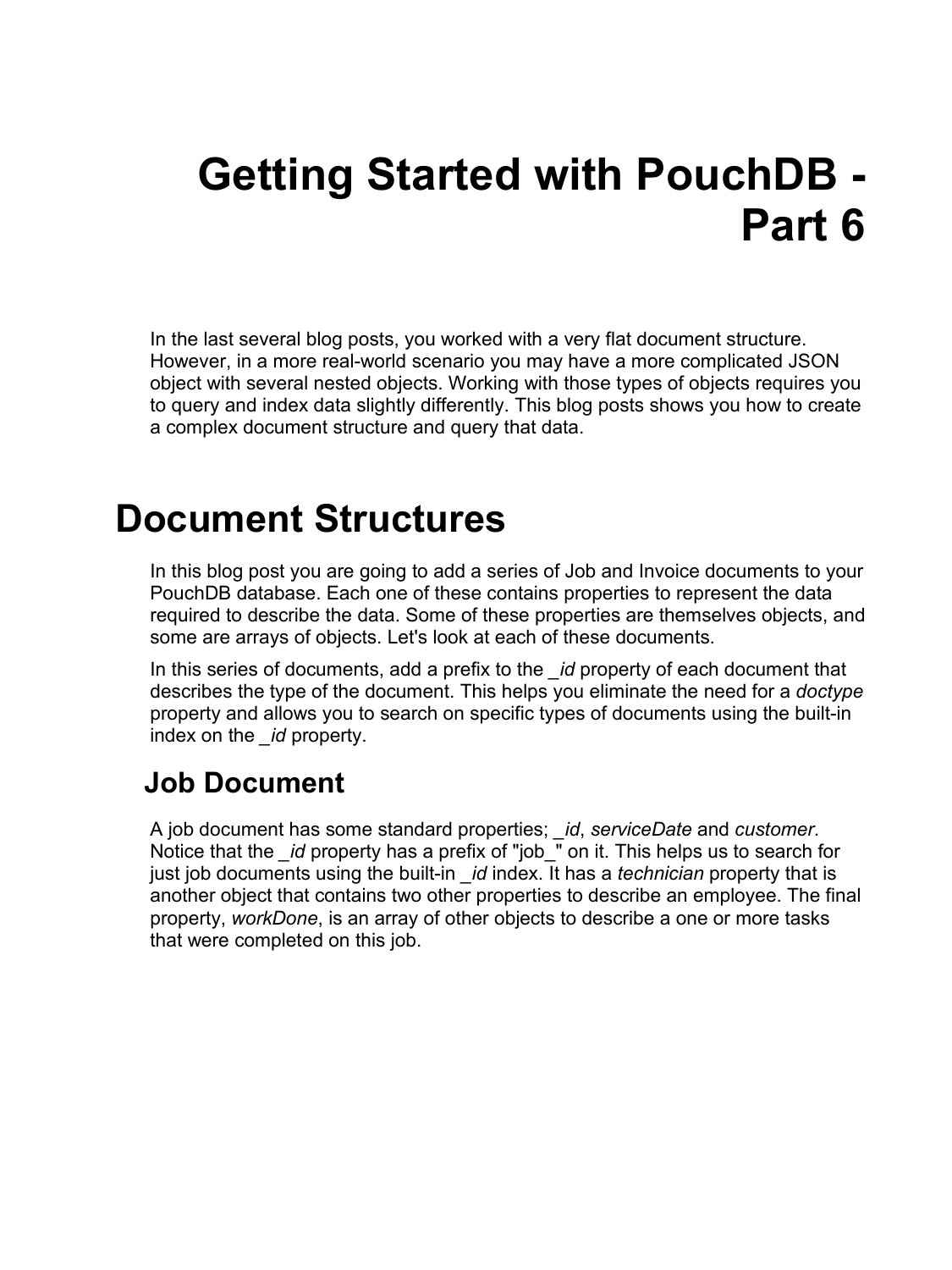# **Getting Started with PouchDB - Part 6**

In the last several blog posts, you worked with a very flat document structure. However, in a more real-world scenario you may have a more complicated JSON object with several nested objects. Working with those types of objects requires you to query and index data slightly differently. This blog posts shows you how to create a complex document structure and query that data.

### **Document Structures**

In this blog post you are going to add a series of Job and Invoice documents to your PouchDB database. Each one of these contains properties to represent the data required to describe the data. Some of these properties are themselves objects, and some are arrays of objects. Let's look at each of these documents.

In this series of documents, add a prefix to the *\_id* property of each document that describes the type of the document. This helps you eliminate the need for a *doctype* property and allows you to search on specific types of documents using the built-in index on the *\_id* property.

#### **Job Document**

A job document has some standard properties; *\_id*, *serviceDate* and *customer*. Notice that the *\_id* property has a prefix of "job\_" on it. This helps us to search for just job documents using the built-in *\_id* index. It has a *technician* property that is another object that contains two other properties to describe an employee. The final property, *workDone*, is an array of other objects to describe a one or more tasks that were completed on this job.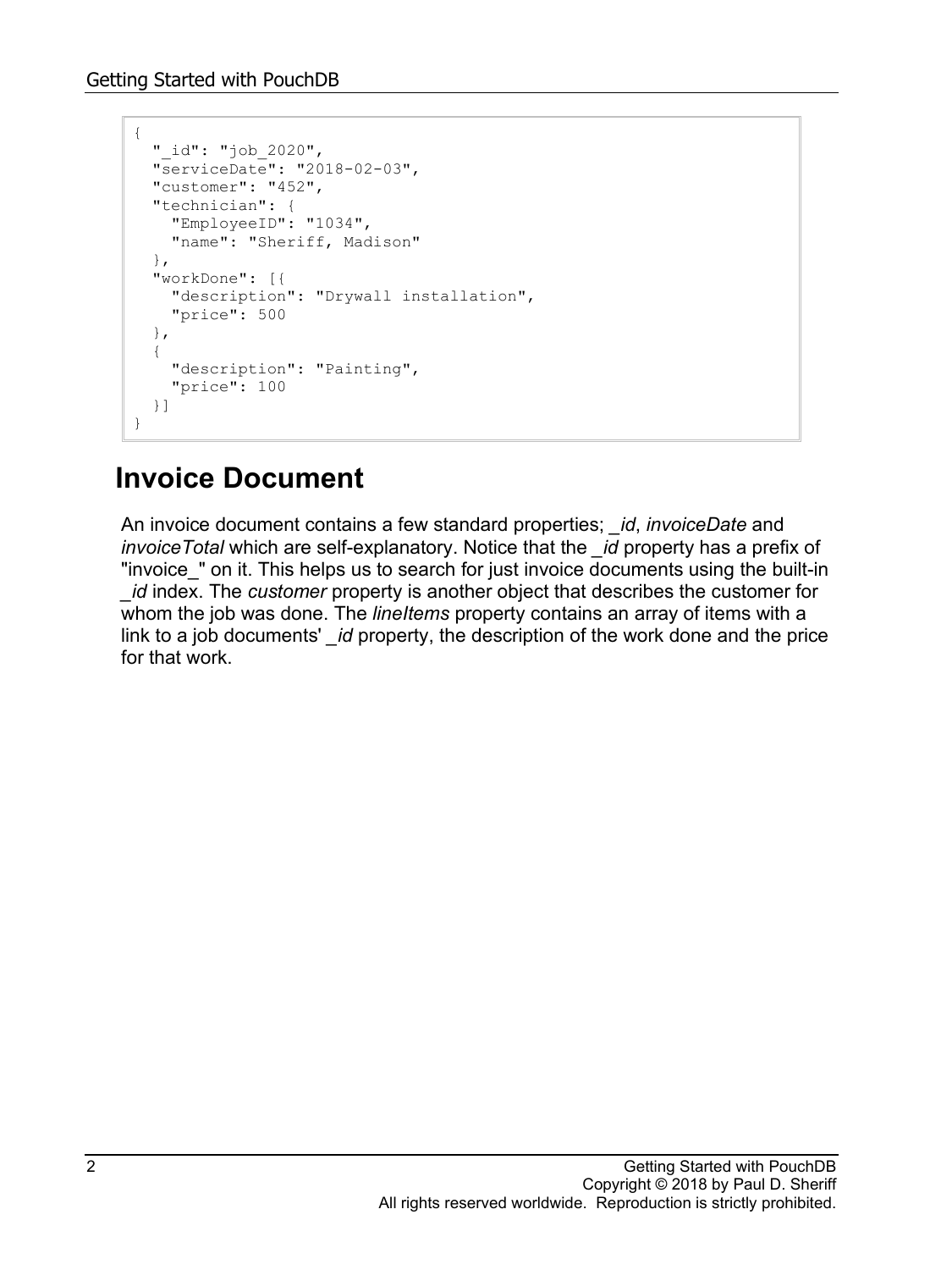```
{
   "_id": "job_2020",
   "serviceDate": "2018-02-03",
   "customer": "452",
   "technician": {
    "EmployeeID": "1034",
     "name": "Sheriff, Madison"
   },
   "workDone": [{
    "description": "Drywall installation",
     "price": 500
   },
   {
     "description": "Painting",
     "price": 100
   }]
}
```
#### **Invoice Document**

An invoice document contains a few standard properties; *\_id*, *invoiceDate* and *invoiceTotal* which are self-explanatory. Notice that the *\_id* property has a prefix of "invoice " on it. This helps us to search for just invoice documents using the built-in *id* index. The *customer* property is another object that describes the customer for whom the job was done. The *lineItems* property contains an array of items with a link to a job documents' *\_id* property, the description of the work done and the price for that work.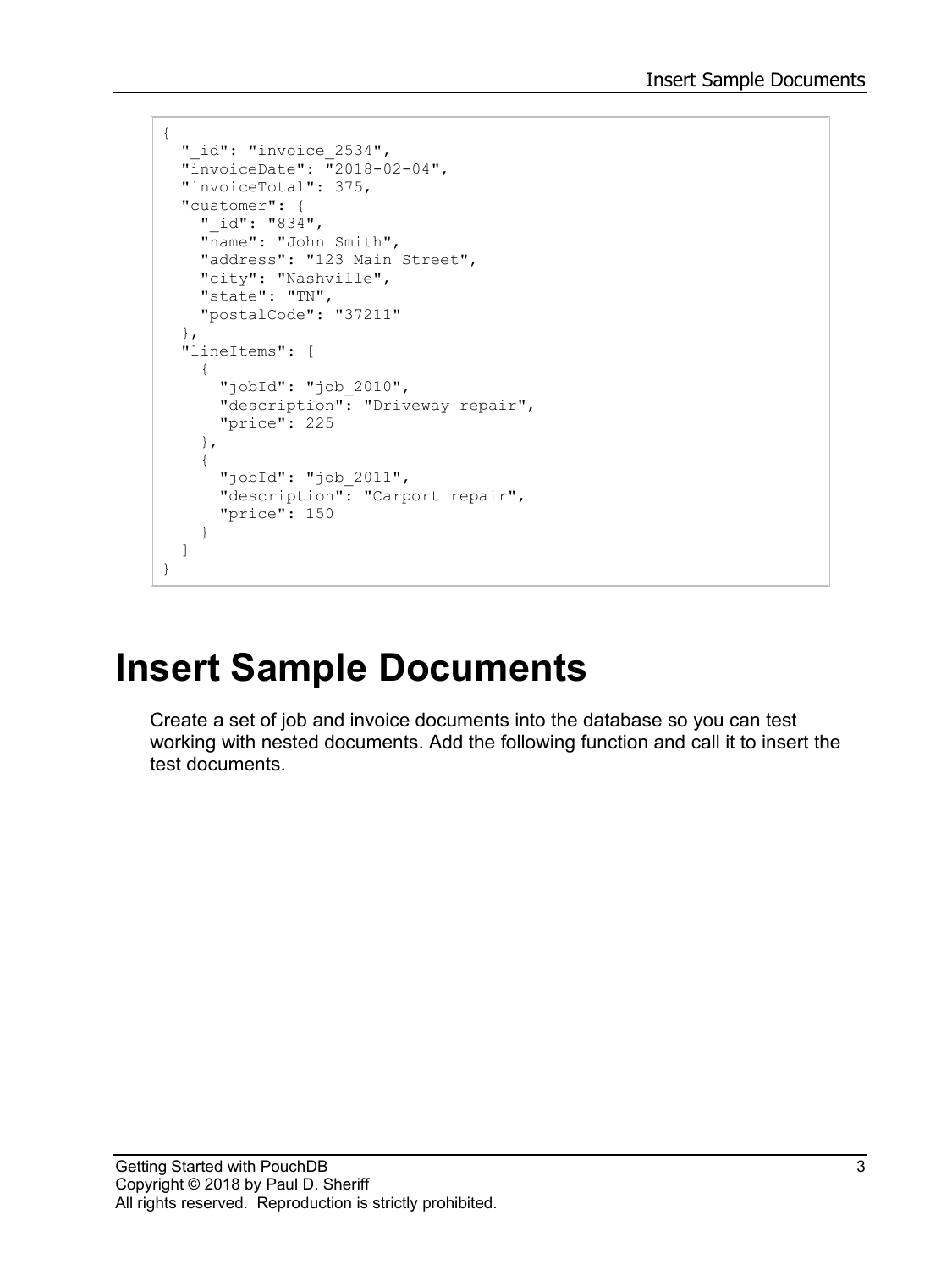```
{
  " id": "invoice 2534",
   "invoiceDate": "2018-02-04",
   "invoiceTotal": 375,
   "customer": {
    "_id": "834",
    "name": "John Smith",
     "address": "123 Main Street",
     "city": "Nashville",
 "state": "TN",
 "postalCode": "37211"
   },
   "lineItems": [
     {
       "jobId": "job_2010",
       "description": "Driveway repair",
       "price": 225
     },
     {
       "jobId": "job_2011",
       "description": "Carport repair",
       "price": 150
     }
   ]
}
```
# **Insert Sample Documents**

Create a set of job and invoice documents into the database so you can test working with nested documents. Add the following function and call it to insert the test documents.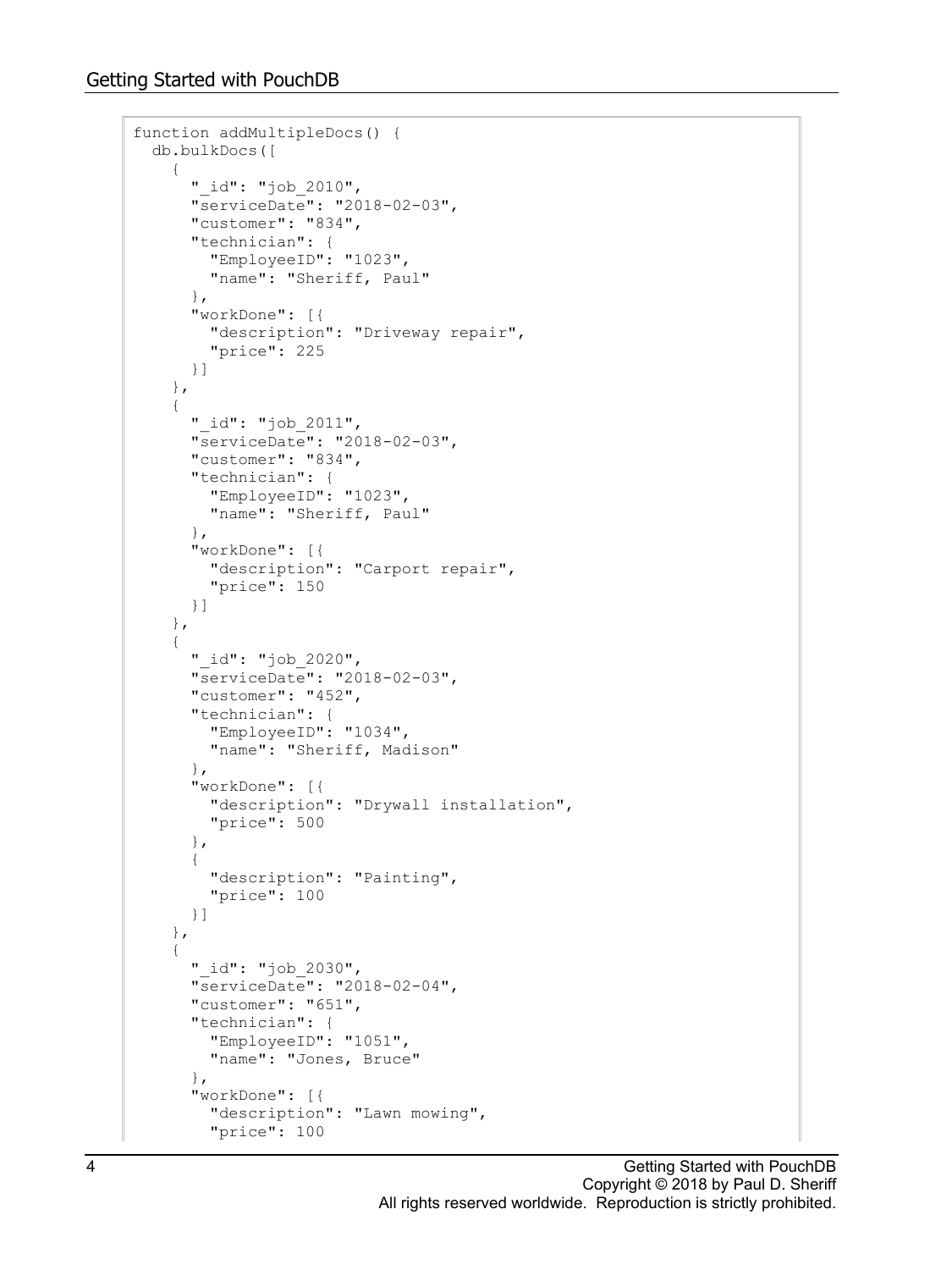```
function addMultipleDocs() {
  db.bulkDocs([
     {
       "_id": "job_2010",
       "serviceDate": "2018-02-03",
       "customer": "834",
       "technician": {
         "EmployeeID": "1023",
         "name": "Sheriff, Paul"
       },
       "workDone": [{
         "description": "Driveway repair",
         "price": 225
       }]
     },
     {
       "_id": "job_2011",
       "serviceDate": "2018-02-03",
       "customer": "834",
       "technician": {
         "EmployeeID": "1023",
         "name": "Sheriff, Paul"
       },
       "workDone": [{
         "description": "Carport repair",
         "price": 150
       }]
     },
     {
       "_id": "job_2020",
       "serviceDate": "2018-02-03",
       "customer": "452",
       "technician": {
         "EmployeeID": "1034",
         "name": "Sheriff, Madison"
       },
       "workDone": [{
         "description": "Drywall installation",
         "price": 500
       },
       {
         "description": "Painting",
         "price": 100
       }]
     },
     {
       "_id": "job_2030",
       "serviceDate": "2018-02-04",
       "customer": "651",
       "technician": {
         "EmployeeID": "1051",
         "name": "Jones, Bruce"
       },
       "workDone": [{
         "description": "Lawn mowing",
         "price": 100
```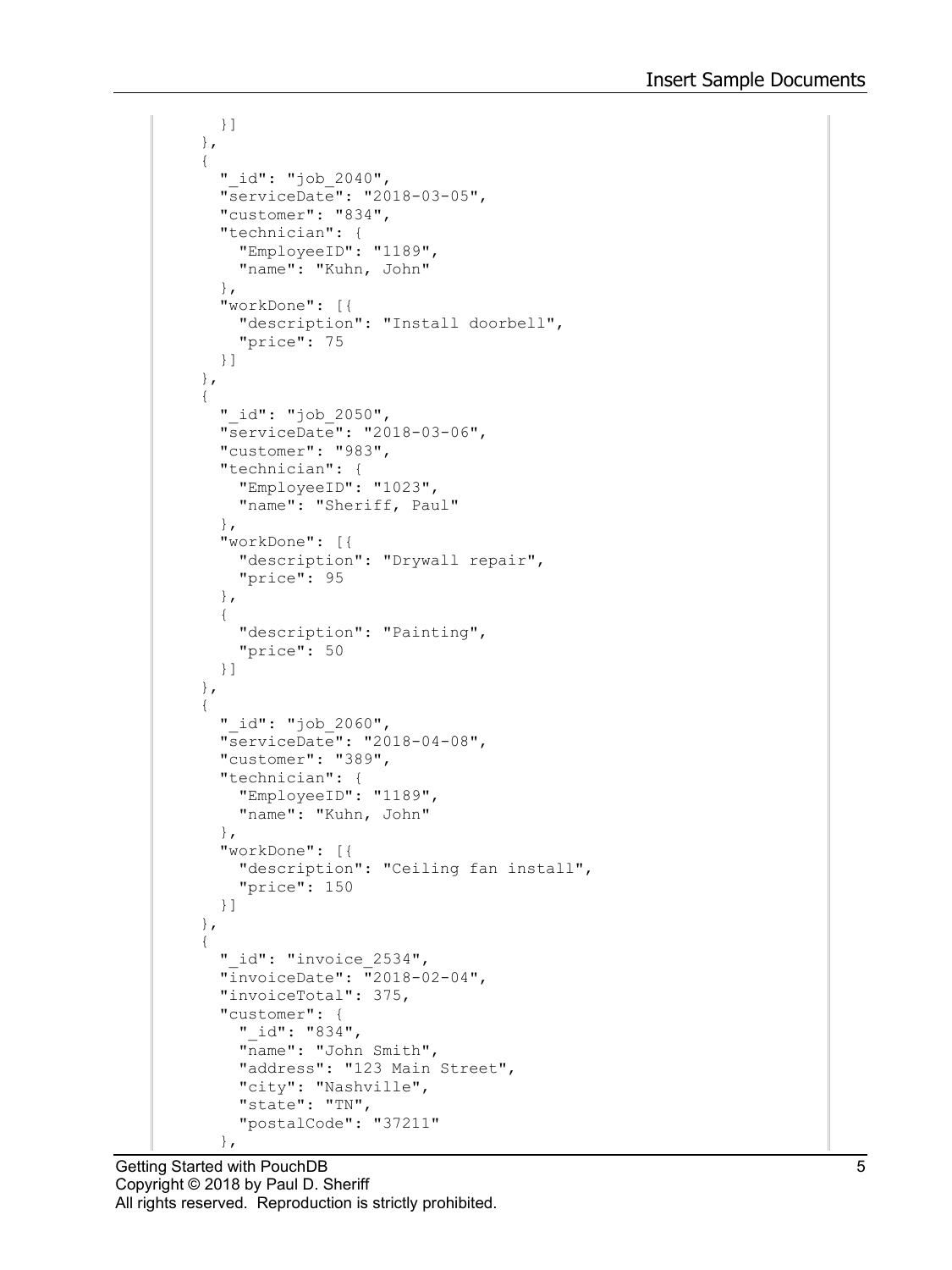```
 }]
     },
     {
       "_id": "job_2040",
       "serviceDate": "2018-03-05",
       "customer": "834",
       "technician": {
         "EmployeeID": "1189",
         "name": "Kuhn, John"
       },
       "workDone": [{
         "description": "Install doorbell",
         "price": 75
       }]
     },
     {
       "_id": "job_2050",
       "serviceDate": "2018-03-06",
       "customer": "983",
       "technician": {
         "EmployeeID": "1023",
         "name": "Sheriff, Paul"
       },
       "workDone": [{
         "description": "Drywall repair",
         "price": 95
       },
       {
         "description": "Painting",
         "price": 50
       }]
     },
     {
       "_id": "job_2060",
       "serviceDate": "2018-04-08",
       "customer": "389",
       "technician": {
         "EmployeeID": "1189",
         "name": "Kuhn, John"
       },
       "workDone": [{
         "description": "Ceiling fan install",
         "price": 150
       }]
     },
     {
       "_id": "invoice_2534",
       "invoiceDate": "2018-02-04",
       "invoiceTotal": 375,
       "customer": {
 "_id": "834",
 "name": "John Smith",
         "address": "123 Main Street",
         "city": "Nashville",
         "state": "TN",
         "postalCode": "37211"
       },
```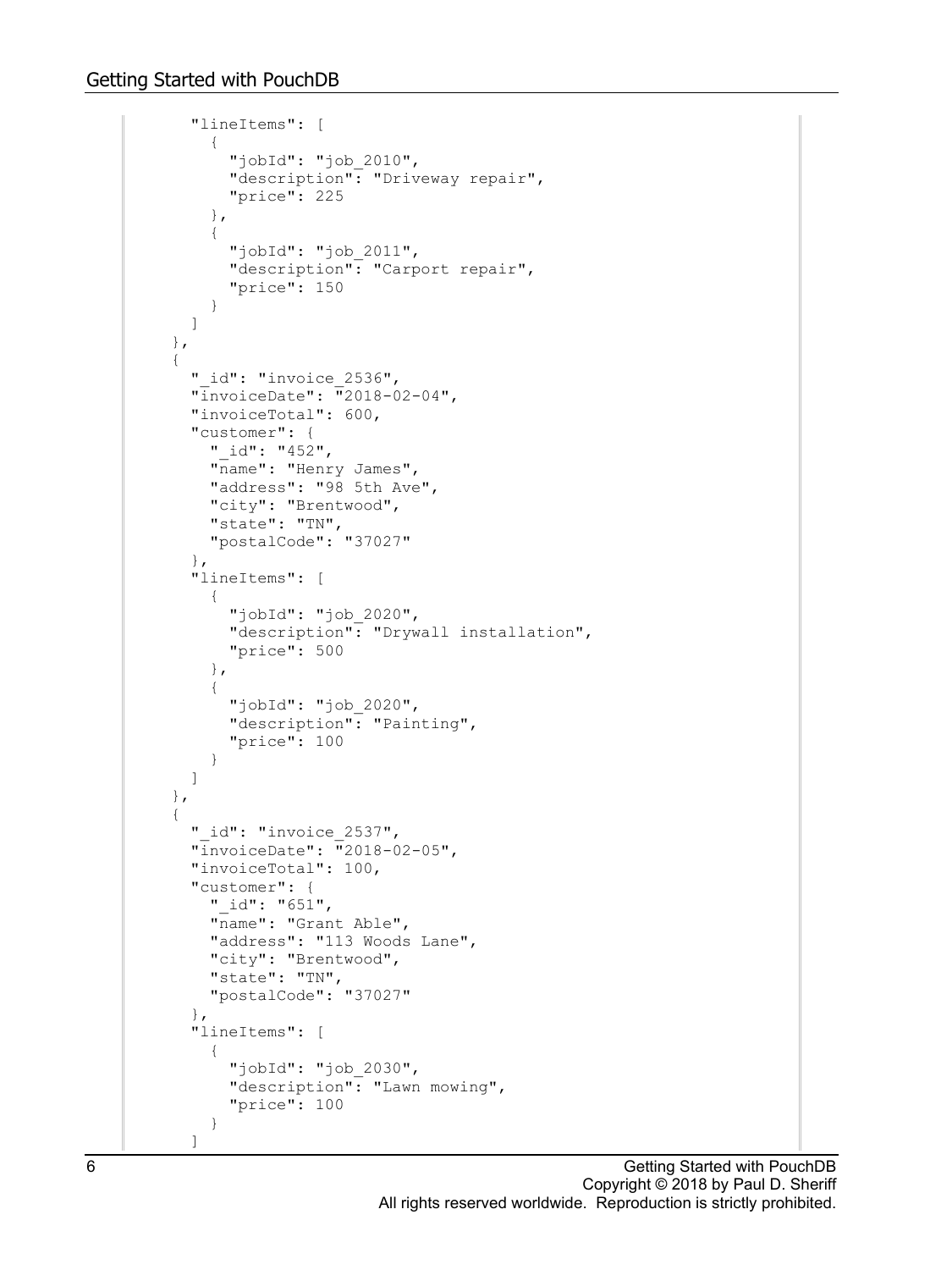```
 "lineItems": [
\{ "jobId": "job_2010",
           "description": "Driveway repair",
           "price": 225
         },
         {
           "jobId": "job_2011",
           "description": "Carport repair",
         "price": 150
 }
       ]
     },
     {
       "_id": "invoice_2536",
       "invoiceDate": "2018-02-04",
       "invoiceTotal": 600,
       "customer": {
         "_id": "452",
       "name": "Henry James",
         "address": "98 5th Ave",
         "city": "Brentwood",
         "state": "TN",
         "postalCode": "37027"
       },
       "lineItems": [
         {
           "jobId": "job_2020",
           "description": "Drywall installation",
           "price": 500
         },
\{ "jobId": "job_2020",
           "description": "Painting",
           "price": 100
         }
       ]
     },
     {
      " id": "invoice 2537",
       "invoiceDate": "2018-02-05",
       "invoiceTotal": 100,
       "customer": {
         "_id": "651",
         "name": "Grant Able",
         "address": "113 Woods Lane",
         "city": "Brentwood",
         "state": "TN",
         "postalCode": "37027"
       },
       "lineItems": [
\{"jobId": "job 2030",
           "description": "Lawn mowing",
         "price": 100
 }
       ]
```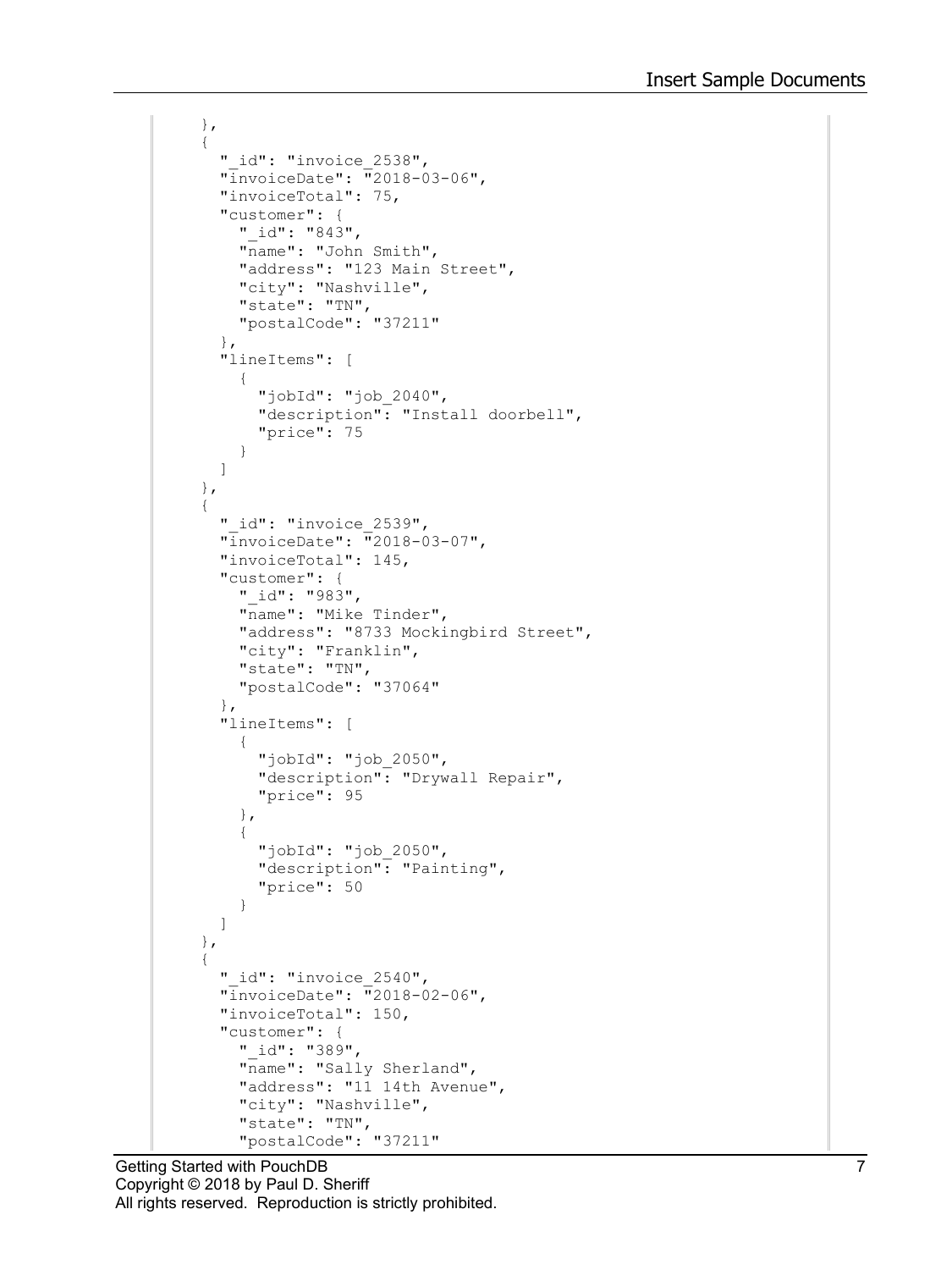```
 },
     {
       "_id": "invoice_2538",
       "invoiceDate": "2018-03-06",
       "invoiceTotal": 75,
       "customer": {
         "_id": "843",
        "name": "John Smith",
         "address": "123 Main Street",
 "city": "Nashville",
 "state": "TN",
         "postalCode": "37211"
       },
       "lineItems": [
\{ "jobId": "job_2040",
           "description": "Install doorbell",
           "price": 75
         }
       ]
     },
     {
      " id": "invoice 2539",
       "invoiceDate": "2018-03-07",
       "invoiceTotal": 145,
       "customer": {
        "_id": "983",
         "name": "Mike Tinder",
         "address": "8733 Mockingbird Street",
         "city": "Franklin",
         "state": "TN",
         "postalCode": "37064"
       },
       "lineItems": [
\{ "jobId": "job_2050",
           "description": "Drywall Repair",
           "price": 95
         },
\{ "jobId": "job_2050",
           "description": "Painting",
           "price": 50
 }
       ]
     },
     {
      " id": "invoice 2540",
       "invoiceDate": "2018-02-06",
       "invoiceTotal": 150,
       "customer": {
        "_id": "389",
         "name": "Sally Sherland",
         "address": "11 14th Avenue",
         "city": "Nashville",
         "state": "TN",
         "postalCode": "37211"
```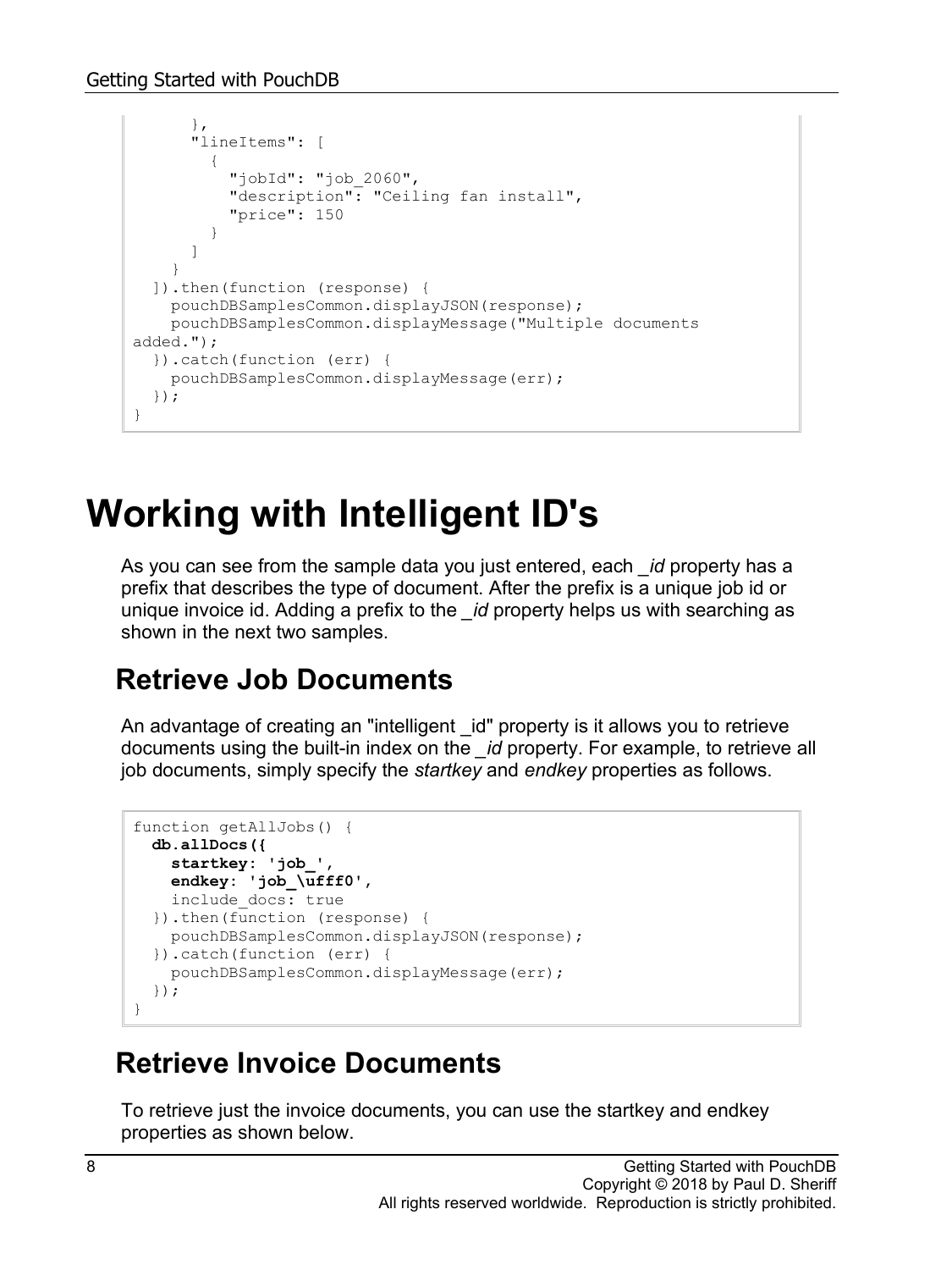```
 },
       "lineItems": [
         {
           "jobId": "job_2060",
           "description": "Ceiling fan install",
           "price": 150
 }
       ]
     }
   ]).then(function (response) {
     pouchDBSamplesCommon.displayJSON(response);
     pouchDBSamplesCommon.displayMessage("Multiple documents 
added.");
   }).catch(function (err) {
     pouchDBSamplesCommon.displayMessage(err);
   });
}
```
### **Working with Intelligent ID's**

As you can see from the sample data you just entered, each *\_id* property has a prefix that describes the type of document. After the prefix is a unique job id or unique invoice id. Adding a prefix to the *\_id* property helps us with searching as shown in the next two samples.

#### **Retrieve Job Documents**

An advantage of creating an "intelligent id" property is it allows you to retrieve documents using the built-in index on the *\_id* property. For example, to retrieve all job documents, simply specify the *startkey* and *endkey* properties as follows.

```
function getAllJobs() {
  db.allDocs({
    startkey: 'job_',
    endkey: 'job_\ufff0',
    include_docs: true
   }).then(function (response) {
    pouchDBSamplesCommon.displayJSON(response);
   }).catch(function (err) {
     pouchDBSamplesCommon.displayMessage(err);
   });
}
```
#### **Retrieve Invoice Documents**

To retrieve just the invoice documents, you can use the startkey and endkey properties as shown below.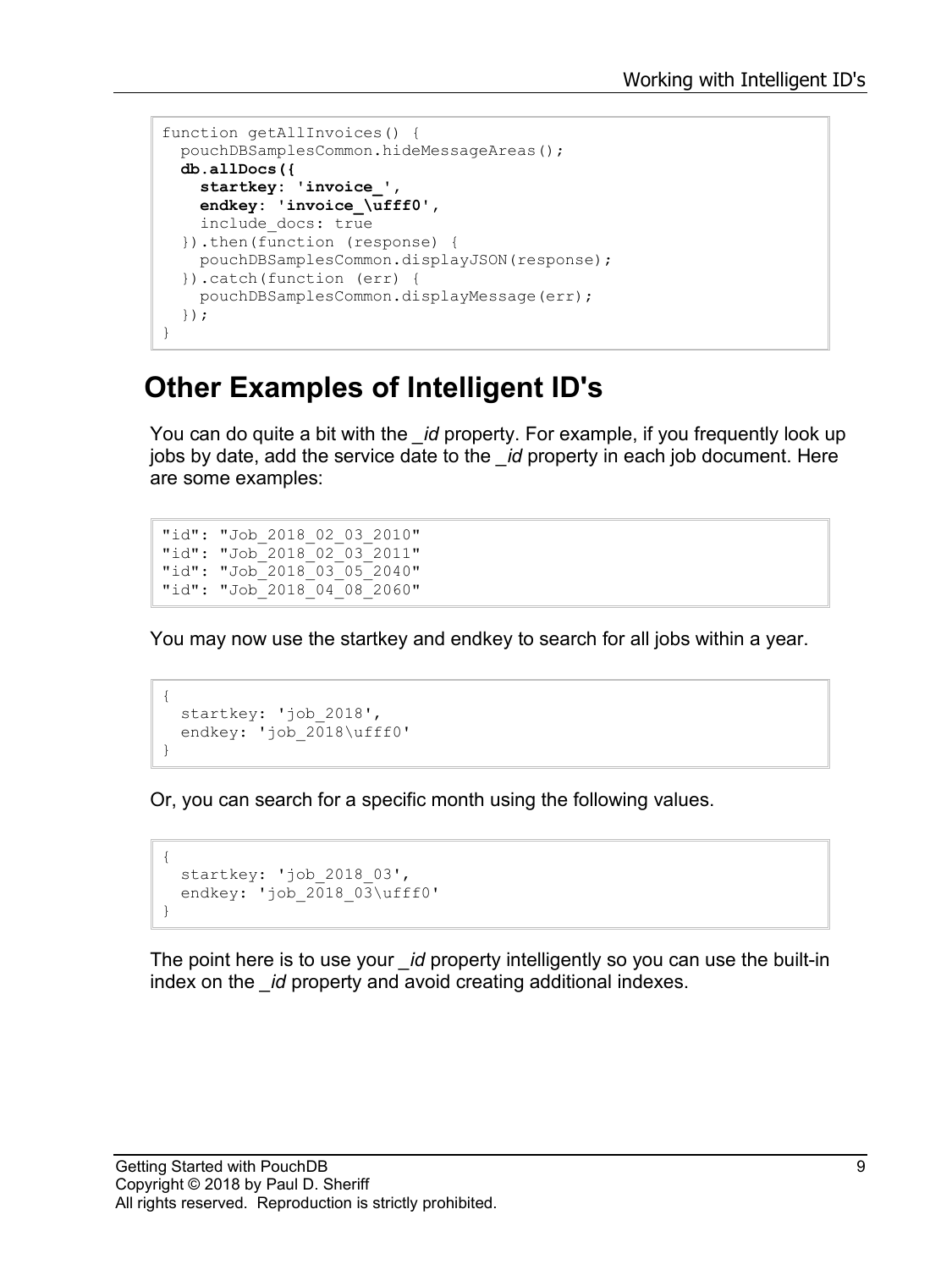```
function getAllInvoices() {
  pouchDBSamplesCommon.hideMessageAreas();
  db.allDocs({
    startkey: 'invoice_',
    endkey: 'invoice_\ufff0',
    include_docs: true
   }).then(function (response) {
    pouchDBSamplesCommon.displayJSON(response);
   }).catch(function (err) {
     pouchDBSamplesCommon.displayMessage(err);
   });
}
```
#### **Other Examples of Intelligent ID's**

You can do quite a bit with the *\_id* property. For example, if you frequently look up jobs by date, add the service date to the *\_id* property in each job document. Here are some examples:

"id": "Job\_2018\_02\_03\_2010" "id": "Job\_2018\_02\_03\_2011" "id": "Job\_2018\_03\_05\_2040" "id": "Job<sup>-2018-04-08-2060"</sup>

You may now use the startkey and endkey to search for all jobs within a year.

```
{
  startkey: 'job_2018',
 endkey: 'job 2018\ufff0'
}
```
Or, you can search for a specific month using the following values.

```
{
 startkey: 'job 2018 03',
 endkey: 'job 2018 03\ufff0'
}
```
The point here is to use your *\_id* property intelligently so you can use the built-in index on the *\_id* property and avoid creating additional indexes.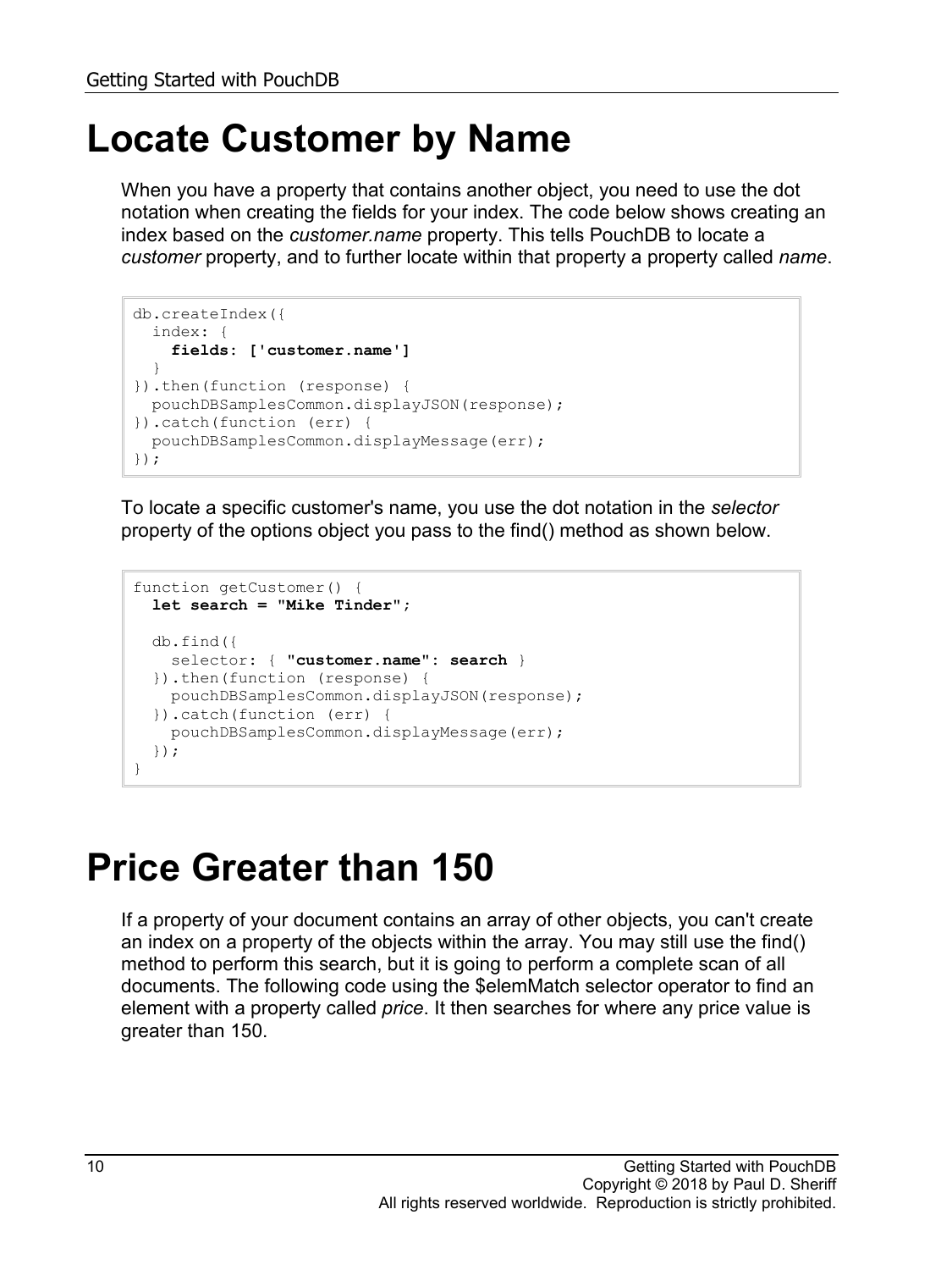### **Locate Customer by Name**

When you have a property that contains another object, you need to use the dot notation when creating the fields for your index. The code below shows creating an index based on the *customer.name* property. This tells PouchDB to locate a *customer* property, and to further locate within that property a property called *name*.

```
db.createIndex({
  index: {
    fields: ['customer.name']
  }
}).then(function (response) {
  pouchDBSamplesCommon.displayJSON(response);
}).catch(function (err) {
  pouchDBSamplesCommon.displayMessage(err);
});
```
To locate a specific customer's name, you use the dot notation in the *selector* property of the options object you pass to the find() method as shown below.

```
function getCustomer() {
  let search = "Mike Tinder";
  db.find({
    selector: { "customer.name": search }
  }).then(function (response) {
    pouchDBSamplesCommon.displayJSON(response);
  }).catch(function (err) {
    pouchDBSamplesCommon.displayMessage(err);
  });
}
```
### **Price Greater than 150**

If a property of your document contains an array of other objects, you can't create an index on a property of the objects within the array. You may still use the find() method to perform this search, but it is going to perform a complete scan of all documents. The following code using the \$elemMatch selector operator to find an element with a property called *price*. It then searches for where any price value is greater than 150.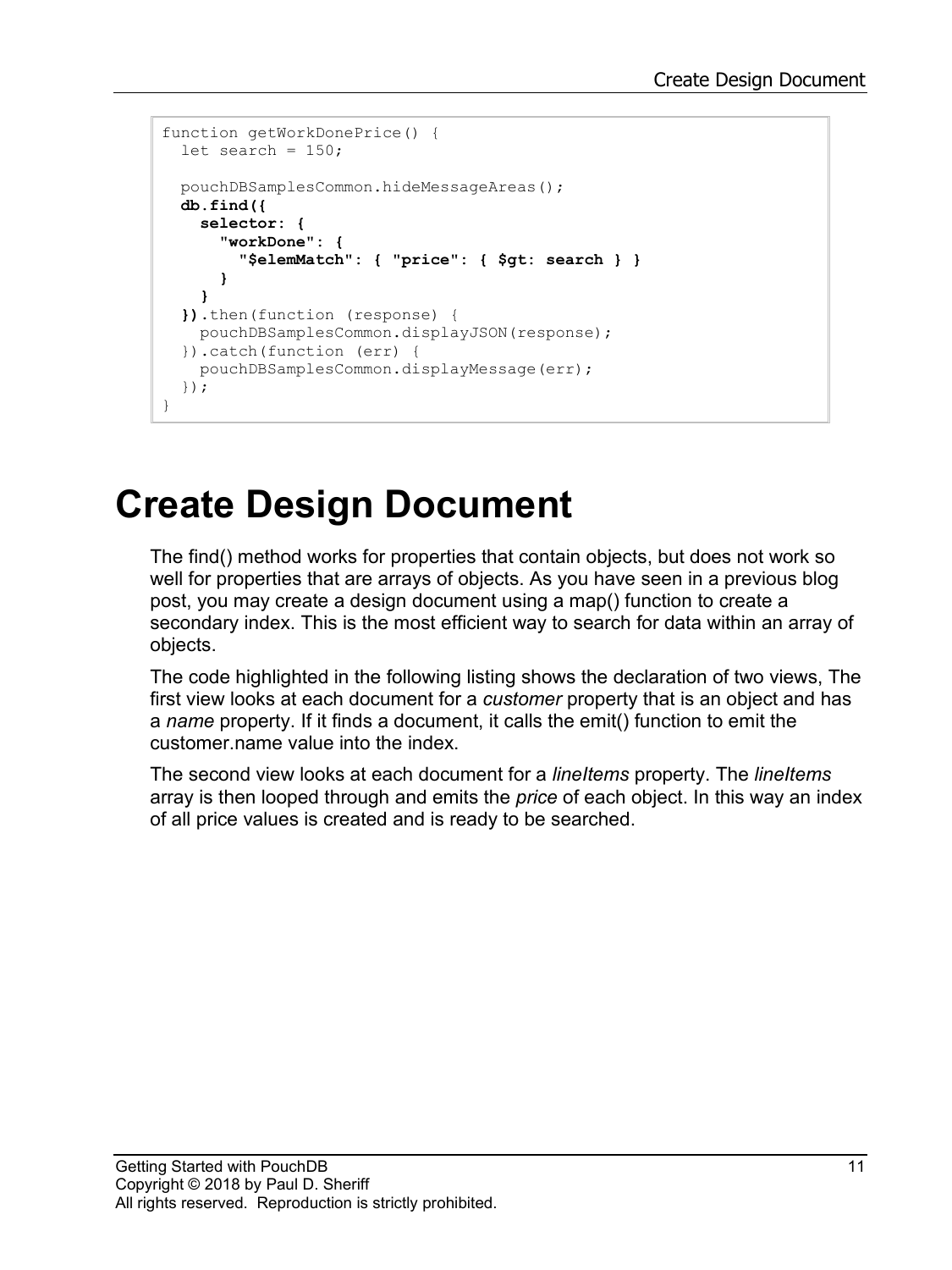```
function getWorkDonePrice() {
 let search = 150;
   pouchDBSamplesCommon.hideMessageAreas();
   db.find({
    selector: {
       "workDone": {
         "$elemMatch": { "price": { $gt: search } }
       }
     }
   }).then(function (response) {
     pouchDBSamplesCommon.displayJSON(response);
   }).catch(function (err) {
     pouchDBSamplesCommon.displayMessage(err);
   });
}
```
### **Create Design Document**

The find() method works for properties that contain objects, but does not work so well for properties that are arrays of objects. As you have seen in a previous blog post, you may create a design document using a map() function to create a secondary index. This is the most efficient way to search for data within an array of objects.

The code highlighted in the following listing shows the declaration of two views, The first view looks at each document for a *customer* property that is an object and has a *name* property. If it finds a document, it calls the emit() function to emit the customer.name value into the index.

The second view looks at each document for a *lineItems* property. The *lineItems* array is then looped through and emits the *price* of each object. In this way an index of all price values is created and is ready to be searched.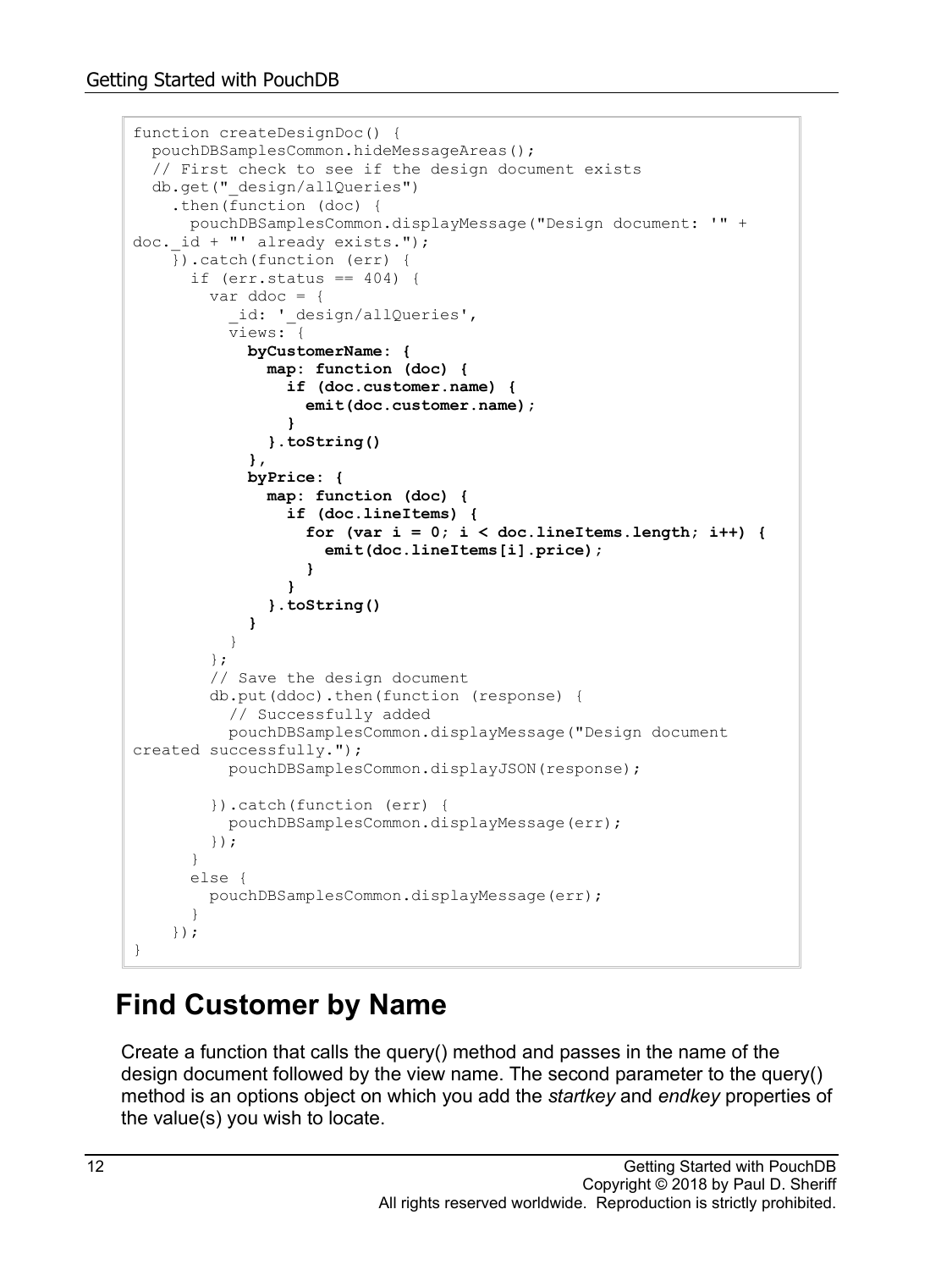```
function createDesignDoc() {
  pouchDBSamplesCommon.hideMessageAreas();
   // First check to see if the design document exists
  db.get("_design/allQueries")
     .then(function (doc) {
      pouchDBSamplesCommon.displayMessage("Design document: '" + 
doc. id + "' already exists.");
     }).catch(function (err) {
     if (err.status == 404) {
        var ddoc = {
          id: ' design/allQueries',
          views: {
            byCustomerName: {
              map: function (doc) {
                if (doc.customer.name) {
                  emit(doc.customer.name);
 }
              }.toString()
            },
            byPrice: {
              map: function (doc) {
                if (doc.lineItems) {
                 for \{var i = 0; i < docu.lineItems.length; i++) {
                    emit(doc.lineItems[i].price);
 }
 }
               }.toString()
 }
 }
         };
         // Save the design document
        db.put(ddoc).then(function (response) {
          // Successfully added
          pouchDBSamplesCommon.displayMessage("Design document 
created successfully.");
          pouchDBSamplesCommon.displayJSON(response);
         }).catch(function (err) {
          pouchDBSamplesCommon.displayMessage(err);
        });
       }
       else {
       pouchDBSamplesCommon.displayMessage(err);
 }
     });
}
```
#### **Find Customer by Name**

Create a function that calls the query() method and passes in the name of the design document followed by the view name. The second parameter to the query() method is an options object on which you add the *startkey* and *endkey* properties of the value(s) you wish to locate.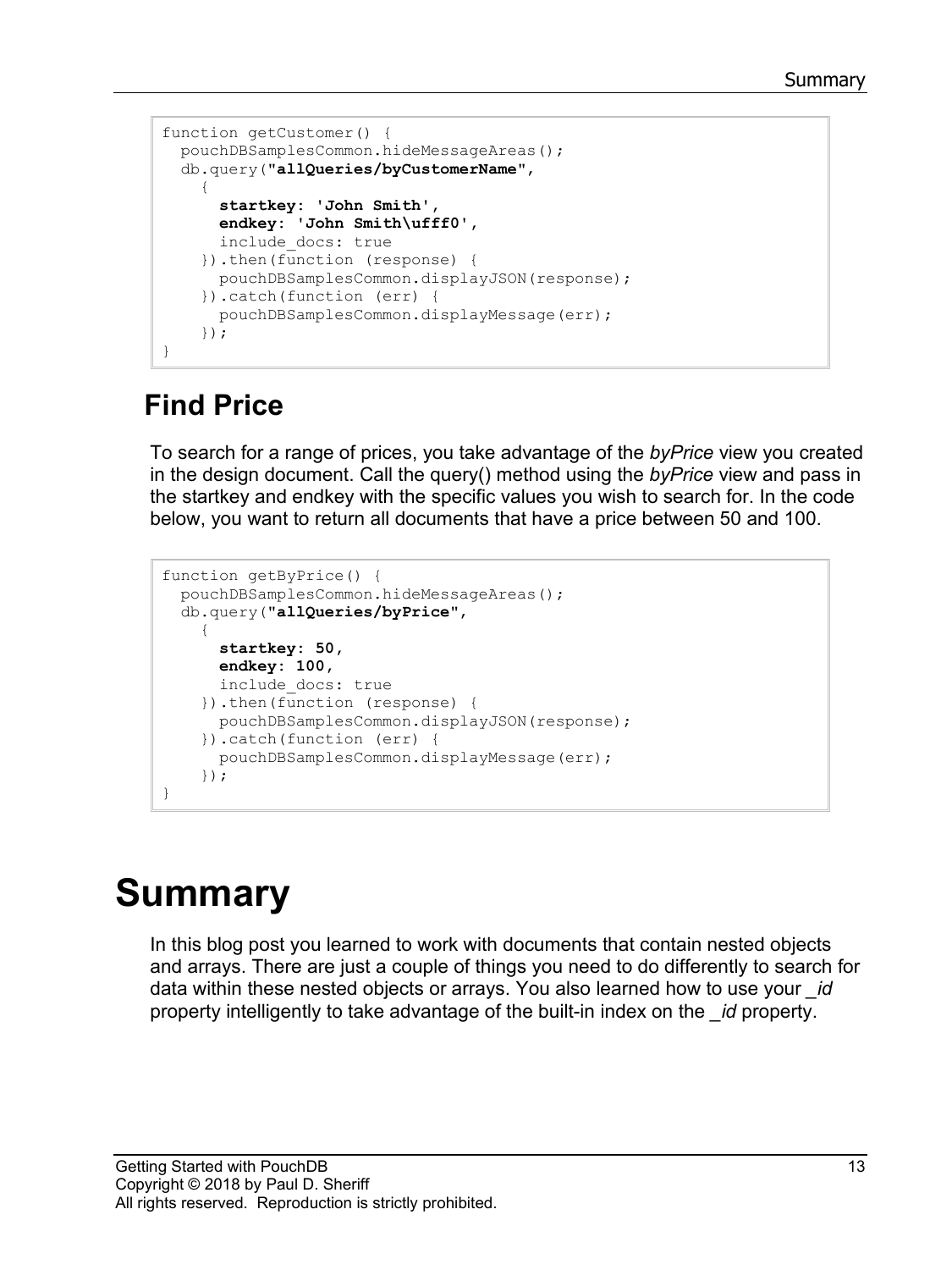```
function getCustomer() {
   pouchDBSamplesCommon.hideMessageAreas();
   db.query("allQueries/byCustomerName",
\left\{\begin{array}{ccc} \end{array}\right\} startkey: 'John Smith',
       endkey: 'John Smith\ufff0',
       include_docs: true
     }).then(function (response) {
       pouchDBSamplesCommon.displayJSON(response);
     }).catch(function (err) {
       pouchDBSamplesCommon.displayMessage(err);
     });
}
```
#### **Find Price**

To search for a range of prices, you take advantage of the *byPrice* view you created in the design document. Call the query() method using the *byPrice* view and pass in the startkey and endkey with the specific values you wish to search for. In the code below, you want to return all documents that have a price between 50 and 100.

```
function getByPrice() {
  pouchDBSamplesCommon.hideMessageAreas();
   db.query("allQueries/byPrice",
\{ startkey: 50,
       endkey: 100,
       include_docs: true
     }).then(function (response) {
       pouchDBSamplesCommon.displayJSON(response);
     }).catch(function (err) {
       pouchDBSamplesCommon.displayMessage(err);
     });
}
```
# **Summary**

In this blog post you learned to work with documents that contain nested objects and arrays. There are just a couple of things you need to do differently to search for data within these nested objects or arrays. You also learned how to use your *\_id* property intelligently to take advantage of the built-in index on the *\_id* property.